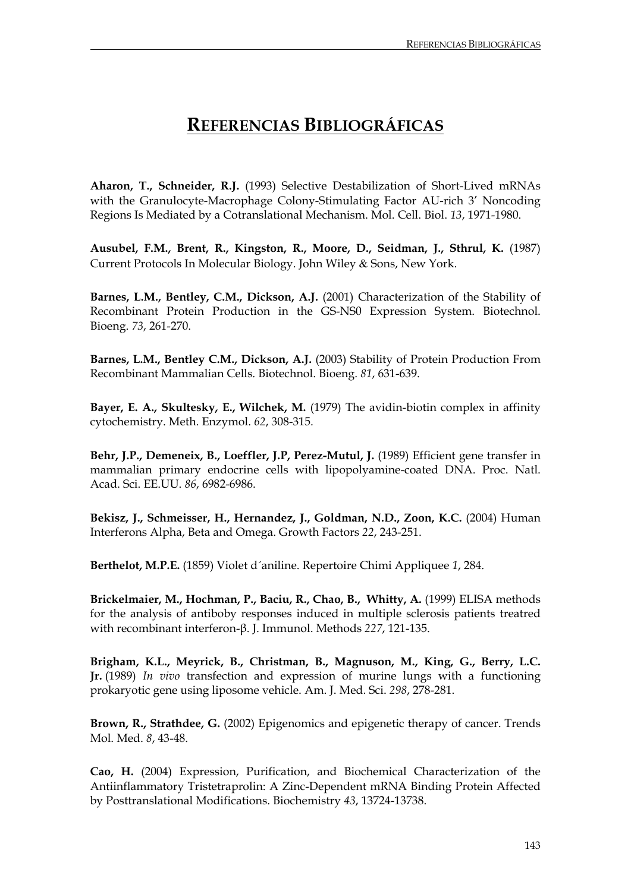## **REFERENCIAS BIBLIOGRÁFICAS**

**Aharon, T., Schneider, R.J.** (1993) Selective Destabilization of Short-Lived mRNAs with the Granulocyte-Macrophage Colony-Stimulating Factor AU-rich 3' Noncoding Regions Is Mediated by a Cotranslational Mechanism. Mol. Cell. Biol. *13*, 1971-1980.

**Ausubel, F.M., Brent, R., Kingston, R., Moore, D., Seidman, J., Sthrul, K.** (1987) Current Protocols In Molecular Biology. John Wiley & Sons, New York.

**Barnes, L.M., Bentley, C.M., Dickson, A.J.** (2001) Characterization of the Stability of Recombinant Protein Production in the GS-NS0 Expression System. Biotechnol. Bioeng. *73*, 261-270.

**Barnes, L.M., Bentley C.M., Dickson, A.J.** (2003) Stability of Protein Production From Recombinant Mammalian Cells. Biotechnol. Bioeng. *81*, 631-639.

**Bayer, E. A., Skultesky, E., Wilchek, M.** (1979) The avidin-biotin complex in affinity cytochemistry. Meth. Enzymol. *62*, 308-315.

**Behr, J.P., Demeneix, B., Loeffler, J.P, Perez-Mutul, J.** (1989) Efficient gene transfer in mammalian primary endocrine cells with lipopolyamine-coated DNA. Proc. Natl. Acad. Sci. EE.UU. *86*, 6982-6986.

**Bekisz, J., Schmeisser, H., Hernandez, J., Goldman, N.D., Zoon, K.C.** (2004) Human Interferons Alpha, Beta and Omega. Growth Factors *22*, 243-251.

**Berthelot, M.P.E.** (1859) Violet d´aniline. Repertoire Chimi Appliquee *1*, 284.

Brickelmaier, M., Hochman, P., Baciu, R., Chao, B., Whitty, A. (1999) ELISA methods for the analysis of antiboby responses induced in multiple sclerosis patients treatred with recombinant interferon-β. J. Immunol. Methods *227*, 121-135.

**Brigham, K.L., Meyrick, B., Christman, B., Magnuson, M., King, G., Berry, L.C. Jr.** (1989) *In vivo* transfection and expression of murine lungs with a functioning prokaryotic gene using liposome vehicle. Am. J. Med. Sci. *298*, 278-281.

**Brown, R., Strathdee, G.** (2002) Epigenomics and epigenetic therapy of cancer. Trends Mol. Med. *8*, 43-48.

**Cao, H.** (2004) Expression, Purification, and Biochemical Characterization of the Antiinflammatory Tristetraprolin: A Zinc-Dependent mRNA Binding Protein Affected by Posttranslational Modifications. Biochemistry *43*, 13724-13738.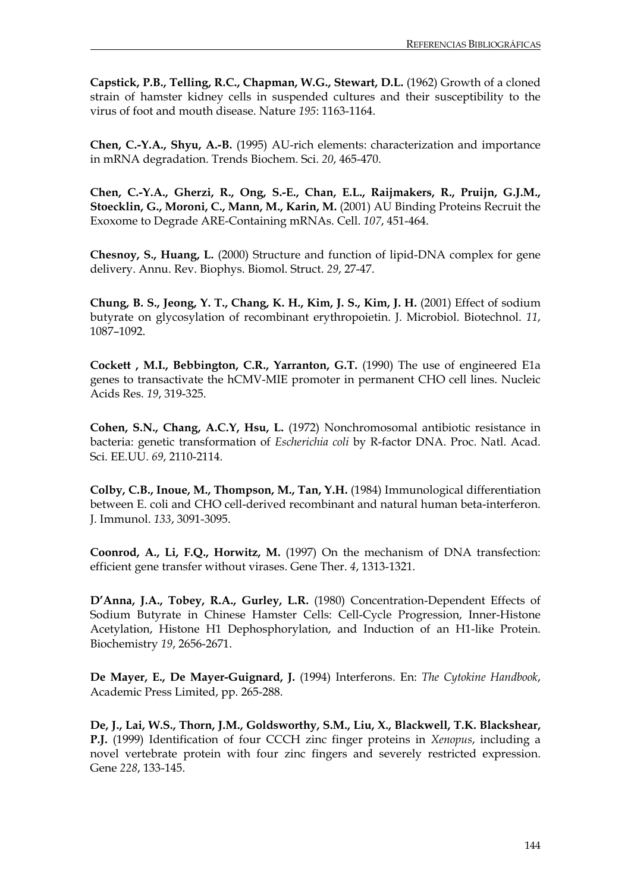**Capstick, P.B., Telling, R.C., Chapman, W.G., Stewart, D.L.** (1962) Growth of a cloned strain of hamster kidney cells in suspended cultures and their susceptibility to the virus of foot and mouth disease. Nature *195*: 1163-1164.

**Chen, C.-Y.A., Shyu, A.-B.** (1995) AU-rich elements: characterization and importance in mRNA degradation. Trends Biochem. Sci. *20*, 465-470.

**Chen, C.-Y.A., Gherzi, R., Ong, S.-E., Chan, E.L., Raijmakers, R., Pruijn, G.J.M., Stoecklin, G., Moroni, C., Mann, M., Karin, M.** (2001) AU Binding Proteins Recruit the Exoxome to Degrade ARE-Containing mRNAs. Cell. *107*, 451-464.

**Chesnoy, S., Huang, L.** (2000) Structure and function of lipid-DNA complex for gene delivery. Annu. Rev. Biophys. Biomol. Struct. *29*, 27-47.

**Chung, B. S., Jeong, Y. T., Chang, K. H., Kim, J. S., Kim, J. H.** (2001) Effect of sodium butyrate on glycosylation of recombinant erythropoietin. J. Microbiol. Biotechnol. *11*, 1087–1092.

**Cockett , M.I., Bebbington, C.R., Yarranton, G.T.** (1990) The use of engineered E1a genes to transactivate the hCMV-MIE promoter in permanent CHO cell lines. Nucleic Acids Res. *19*, 319-325.

**Cohen, S.N., Chang, A.C.Y, Hsu, L.** (1972) Nonchromosomal antibiotic resistance in bacteria: genetic transformation of *Escherichia coli* by R-factor DNA. Proc. Natl. Acad. Sci. EE.UU. *69*, 2110-2114.

**Colby, C.B., Inoue, M., Thompson, M., Tan, Y.H.** (1984) Immunological differentiation between E. coli and CHO cell-derived recombinant and natural human beta-interferon. J. Immunol. *133*, 3091-3095.

**Coonrod, A., Li, F.Q., Horwitz, M.** (1997) On the mechanism of DNA transfection: efficient gene transfer without virases. Gene Ther. *4*, 1313-1321.

**D'Anna, J.A., Tobey, R.A., Gurley, L.R.** (1980) Concentration-Dependent Effects of Sodium Butyrate in Chinese Hamster Cells: Cell-Cycle Progression, Inner-Histone Acetylation, Histone H1 Dephosphorylation, and Induction of an H1-like Protein. Biochemistry *19*, 2656-2671.

**De Mayer, E., De Mayer-Guignard, J.** (1994) Interferons. En: *The Cytokine Handbook*, Academic Press Limited, pp. 265-288.

**De, J., Lai, W.S., Thorn, J.M., Goldsworthy, S.M., Liu, X., Blackwell, T.K. Blackshear, P.J.** (1999) Identification of four CCCH zinc finger proteins in *Xenopus*, including a novel vertebrate protein with four zinc fingers and severely restricted expression. Gene *228*, 133-145.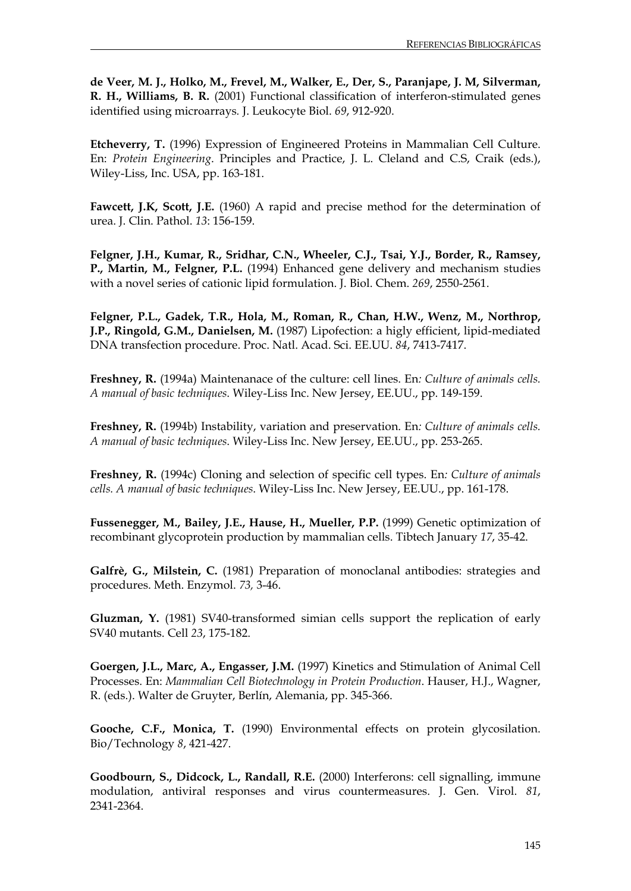**de Veer, M. J., Holko, M., Frevel, M., Walker, E., Der, S., Paranjape, J. M, Silverman, R. H., Williams, B. R.** (2001) Functional classification of interferon-stimulated genes identified using microarrays*.* J. Leukocyte Biol. *69*, 912-920.

**Etcheverry, T.** (1996) Expression of Engineered Proteins in Mammalian Cell Culture. En: *Protein Engineering*. Principles and Practice, J. L. Cleland and C.S, Craik (eds.), Wiley-Liss, Inc. USA, pp. 163-181.

**Fawcett, J.K, Scott, J.E.** (1960) A rapid and precise method for the determination of urea. J. Clin. Pathol. *13*: 156-159.

**Felgner, J.H., Kumar, R., Sridhar, C.N., Wheeler, C.J., Tsai, Y.J., Border, R., Ramsey, P., Martin, M., Felgner, P.L.** (1994) Enhanced gene delivery and mechanism studies with a novel series of cationic lipid formulation. J. Biol. Chem. *269*, 2550-2561.

**Felgner, P.L., Gadek, T.R., Hola, M., Roman, R., Chan, H.W., Wenz, M., Northrop, J.P., Ringold, G.M., Danielsen, M.** (1987) Lipofection: a higly efficient, lipid-mediated DNA transfection procedure. Proc. Natl. Acad. Sci. EE.UU. *84*, 7413-7417.

**Freshney, R.** (1994a) Maintenanace of the culture: cell lines. En*: Culture of animals cells. A manual of basic techniques*. Wiley-Liss Inc. New Jersey, EE.UU., pp. 149-159.

**Freshney, R.** (1994b) Instability, variation and preservation. En*: Culture of animals cells. A manual of basic techniques*. Wiley-Liss Inc. New Jersey, EE.UU., pp. 253-265.

**Freshney, R.** (1994c) Cloning and selection of specific cell types. En*: Culture of animals cells. A manual of basic techniques*. Wiley-Liss Inc. New Jersey, EE.UU., pp. 161-178.

**Fussenegger, M., Bailey, J.E., Hause, H., Mueller, P.P.** (1999) Genetic optimization of recombinant glycoprotein production by mammalian cells. Tibtech January *17*, 35-42.

**Galfrè, G., Milstein, C.** (1981) Preparation of monoclanal antibodies: strategies and procedures. Meth. Enzymol. *73,* 3-46.

**Gluzman, Y.** (1981) SV40-transformed simian cells support the replication of early SV40 mutants. Cell *23*, 175-182.

**Goergen, J.L., Marc, A., Engasser, J.M.** (1997) Kinetics and Stimulation of Animal Cell Processes. En: *Mammalian Cell Biotechnology in Protein Production*. Hauser, H.J., Wagner, R. (eds.). Walter de Gruyter, Berlín, Alemania, pp. 345-366.

**Gooche, C.F., Monica, T.** (1990) Environmental effects on protein glycosilation. Bio/Technology *8*, 421-427.

**Goodbourn, S., Didcock, L., Randall, R.E.** (2000) Interferons: cell signalling, immune modulation, antiviral responses and virus countermeasures. J. Gen. Virol. *81*, 2341-2364.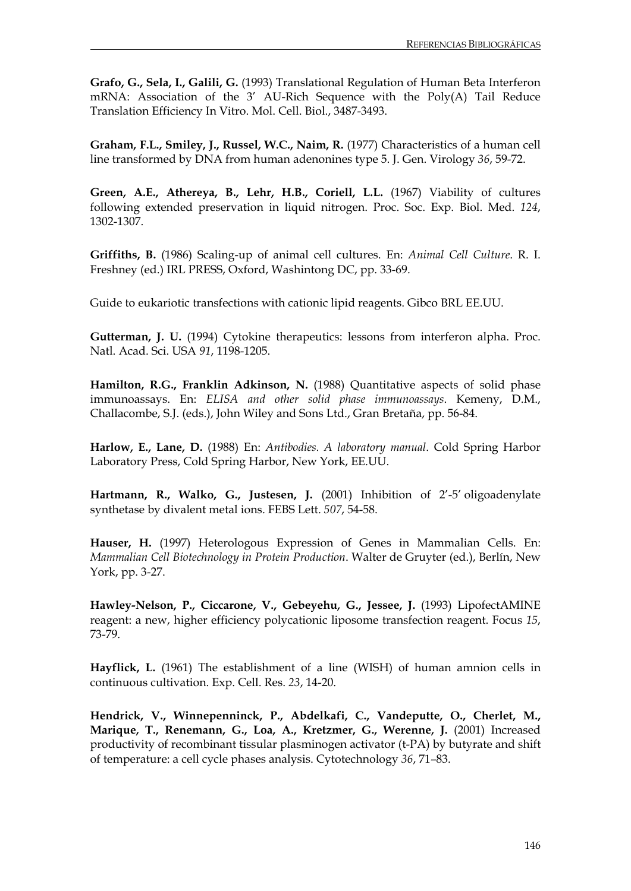**Grafo, G., Sela, I., Galili, G.** (1993) Translational Regulation of Human Beta Interferon mRNA: Association of the 3' AU-Rich Sequence with the Poly(A) Tail Reduce Translation Efficiency In Vitro. Mol. Cell. Biol., 3487-3493.

**Graham, F.L., Smiley, J., Russel, W.C., Naim, R.** (1977) Characteristics of a human cell line transformed by DNA from human adenonines type 5. J. Gen. Virology *36*, 59-72.

**Green, A.E., Athereya, B., Lehr, H.B., Coriell, L.L.** (1967) Viability of cultures following extended preservation in liquid nitrogen. Proc. Soc. Exp. Biol. Med. *124*, 1302-1307.

**Griffiths, B.** (1986) Scaling-up of animal cell cultures. En: *Animal Cell Culture*. R. I. Freshney (ed.) IRL PRESS, Oxford, Washintong DC, pp. 33-69.

Guide to eukariotic transfections with cationic lipid reagents. Gibco BRL EE.UU.

**Gutterman, J. U.** (1994) Cytokine therapeutics: lessons from interferon alpha. Proc. Natl. Acad. Sci. USA *91*, 1198-1205.

**Hamilton, R.G., Franklin Adkinson, N.** (1988) Quantitative aspects of solid phase immunoassays. En: *ELISA and other solid phase immunoassays*. Kemeny, D.M., Challacombe, S.J. (eds.), John Wiley and Sons Ltd., Gran Bretaña, pp. 56-84.

**Harlow, E., Lane, D.** (1988) En: *Antibodies. A laboratory manual*. Cold Spring Harbor Laboratory Press, Cold Spring Harbor, New York, EE.UU.

**Hartmann, R., Walko, G., Justesen, J.** (2001) Inhibition of 2'-5' oligoadenylate synthetase by divalent metal ions. FEBS Lett. *507*, 54-58.

**Hauser, H.** (1997) Heterologous Expression of Genes in Mammalian Cells. En: *Mammalian Cell Biotechnology in Protein Production*. Walter de Gruyter (ed.), Berlín, New York, pp. 3-27.

**Hawley-Nelson, P., Ciccarone, V., Gebeyehu, G., Jessee, J.** (1993) LipofectAMINE reagent: a new, higher efficiency polycationic liposome transfection reagent. Focus *15*, 73-79.

**Hayflick, L.** (1961) The establishment of a line (WISH) of human amnion cells in continuous cultivation. Exp. Cell. Res. *23*, 14-20.

**Hendrick, V., Winnepenninck, P., Abdelkafi, C., Vandeputte, O., Cherlet, M.,**  Marique, T., Renemann, G., Loa, A., Kretzmer, G., Werenne, J. (2001) Increased productivity of recombinant tissular plasminogen activator (t-PA) by butyrate and shift of temperature: a cell cycle phases analysis. Cytotechnology *36*, 71–83.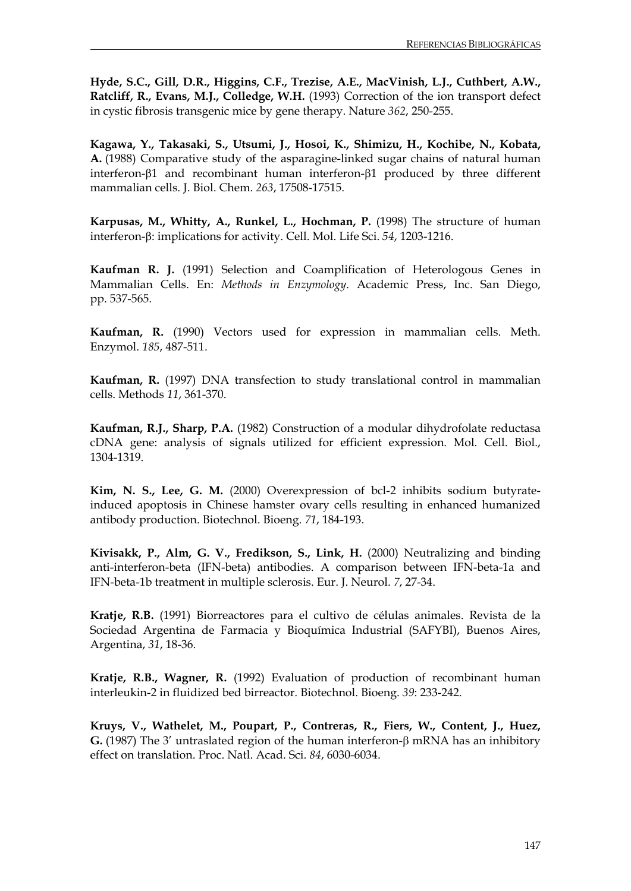**Hyde, S.C., Gill, D.R., Higgins, C.F., Trezise, A.E., MacVinish, L.J., Cuthbert, A.W., Ratcliff, R., Evans, M.J., Colledge, W.H.** (1993) Correction of the ion transport defect in cystic fibrosis transgenic mice by gene therapy. Nature *362*, 250-255.

**Kagawa, Y., Takasaki, S., Utsumi, J., Hosoi, K., Shimizu, H., Kochibe, N., Kobata, A.** (1988) Comparative study of the asparagine-linked sugar chains of natural human interferon-β1 and recombinant human interferon-β1 produced by three different mammalian cells. J. Biol. Chem. *263*, 17508-17515.

**Karpusas, M., Whitty, A., Runkel, L., Hochman, P.** (1998) The structure of human interferon-β: implications for activity. Cell. Mol. Life Sci. *54*, 1203-1216.

**Kaufman R. J.** (1991) Selection and Coamplification of Heterologous Genes in Mammalian Cells. En: *Methods in Enzymology*. Academic Press, Inc. San Diego, pp. 537-565.

**Kaufman, R.** (1990) Vectors used for expression in mammalian cells. Meth. Enzymol. *185*, 487-511.

**Kaufman, R.** (1997) DNA transfection to study translational control in mammalian cells. Methods *11*, 361-370.

**Kaufman, R.J., Sharp, P.A.** (1982) Construction of a modular dihydrofolate reductasa cDNA gene: analysis of signals utilized for efficient expression. Mol. Cell. Biol., 1304-1319.

**Kim, N. S., Lee, G. M.** (2000) Overexpression of bcl-2 inhibits sodium butyrateinduced apoptosis in Chinese hamster ovary cells resulting in enhanced humanized antibody production. Biotechnol. Bioeng. *71*, 184-193.

**Kivisakk, P., Alm, G. V., Fredikson, S., Link, H.** (2000) Neutralizing and binding anti-interferon-beta (IFN-beta) antibodies. A comparison between IFN-beta-1a and IFN-beta-1b treatment in multiple sclerosis. Eur. J. Neurol. *7*, 27-34.

**Kratje, R.B.** (1991) Biorreactores para el cultivo de células animales. Revista de la Sociedad Argentina de Farmacia y Bioquímica Industrial (SAFYBI), Buenos Aires, Argentina, *31*, 18-36.

**Kratje, R.B., Wagner, R.** (1992) Evaluation of production of recombinant human interleukin-2 in fluidized bed birreactor. Biotechnol. Bioeng. *39*: 233-242.

**Kruys, V., Wathelet, M., Poupart, P., Contreras, R., Fiers, W., Content, J., Huez, G.** (1987) The 3' untraslated region of the human interferon-β mRNA has an inhibitory effect on translation. Proc. Natl. Acad. Sci. *84*, 6030-6034.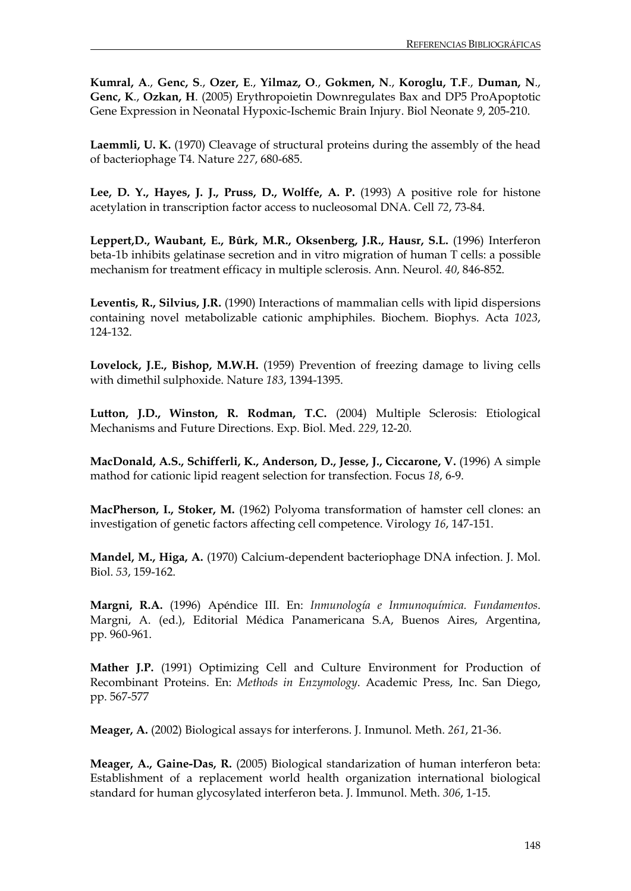**[Kumral, A](http://www.ncbi.nlm.nih.gov/entrez/query.fcgi?db=pubmed&cmd=Search&itool=pubmed_Abstract&term=%22Kumral+A%22%5BAuthor%5D)**., **[Genc, S](http://www.ncbi.nlm.nih.gov/entrez/query.fcgi?db=pubmed&cmd=Search&itool=pubmed_Abstract&term=%22Genc+S%22%5BAuthor%5D)**., **[Ozer, E](http://www.ncbi.nlm.nih.gov/entrez/query.fcgi?db=pubmed&cmd=Search&itool=pubmed_Abstract&term=%22Ozer+E%22%5BAuthor%5D)**., **[Yilmaz, O](http://www.ncbi.nlm.nih.gov/entrez/query.fcgi?db=pubmed&cmd=Search&itool=pubmed_Abstract&term=%22Yilmaz+O%22%5BAuthor%5D)**., **[Gokmen, N](http://www.ncbi.nlm.nih.gov/entrez/query.fcgi?db=pubmed&cmd=Search&itool=pubmed_Abstract&term=%22Gokmen+N%22%5BAuthor%5D)**., **[Koroglu, T.F](http://www.ncbi.nlm.nih.gov/entrez/query.fcgi?db=pubmed&cmd=Search&itool=pubmed_Abstract&term=%22Koroglu+TF%22%5BAuthor%5D)**., **[Duman, N](http://www.ncbi.nlm.nih.gov/entrez/query.fcgi?db=pubmed&cmd=Search&itool=pubmed_Abstract&term=%22Duman+N%22%5BAuthor%5D)**., **[Genc, K](http://www.ncbi.nlm.nih.gov/entrez/query.fcgi?db=pubmed&cmd=Search&itool=pubmed_Abstract&term=%22Genc+K%22%5BAuthor%5D)**., **[Ozkan, H](http://www.ncbi.nlm.nih.gov/entrez/query.fcgi?db=pubmed&cmd=Search&itool=pubmed_Abstract&term=%22Ozkan+H%22%5BAuthor%5D)**. (2005) Erythropoietin Downregulates Bax and DP5 ProApoptotic Gene Expression in Neonatal Hypoxic-Ischemic Brain Injury. [Biol Neonate](javascript:AL_get(this,%20) *9*, 205-210.

**Laemmli, U. K.** (1970) Cleavage of structural proteins during the assembly of the head of bacteriophage T4. Nature *227*, 680-685.

**Lee, D. Y., Hayes, J. J., Pruss, D., Wolffe, A. P.** (1993) A positive role for histone acetylation in transcription factor access to nucleosomal DNA. Cell *72*, 73-84.

**Leppert,D., Waubant, E., Bûrk, M.R., Oksenberg, J.R., Hausr, S.L.** (1996) Interferon beta-1b inhibits gelatinase secretion and in vitro migration of human T cells: a possible mechanism for treatment efficacy in multiple sclerosis. Ann. Neurol. *40*, 846-852.

**Leventis, R., Silvius, J.R.** (1990) Interactions of mammalian cells with lipid dispersions containing novel metabolizable cationic amphiphiles. Biochem. Biophys. Acta *1023*, 124-132.

**Lovelock, J.E., Bishop, M.W.H.** (1959) Prevention of freezing damage to living cells with dimethil sulphoxide. Nature *183*, 1394-1395.

**Lutton, J.D., Winston, R. Rodman, T.C.** (2004) Multiple Sclerosis: Etiological Mechanisms and Future Directions. Exp. Biol. Med. *229*, 12-20.

**MacDonald, A.S., Schifferli, K., Anderson, D., Jesse, J., Ciccarone, V.** (1996) A simple mathod for cationic lipid reagent selection for transfection. Focus *18*, 6-9.

**MacPherson, I., Stoker, M.** (1962) Polyoma transformation of hamster cell clones: an investigation of genetic factors affecting cell competence. Virology *16*, 147-151.

**Mandel, M., Higa, A.** (1970) Calcium-dependent bacteriophage DNA infection. J. Mol. Biol. *53*, 159-162.

**Margni, R.A.** (1996) Apéndice III. En: *Inmunología e Inmunoquímica. Fundamentos*. Margni, A. (ed.), Editorial Médica Panamericana S.A, Buenos Aires, Argentina, pp. 960-961.

**Mather J.P.** (1991) Optimizing Cell and Culture Environment for Production of Recombinant Proteins. En: *Methods in Enzymology*. Academic Press, Inc. San Diego, pp. 567-577

**Meager, A.** (2002) Biological assays for interferons. J. Inmunol. Meth. *261*, 21-36.

**Meager, A., Gaine-Das, R.** (2005) Biological standarization of human interferon beta: Establishment of a replacement world health organization international biological standard for human glycosylated interferon beta. J. Immunol. Meth. *306*, 1-15.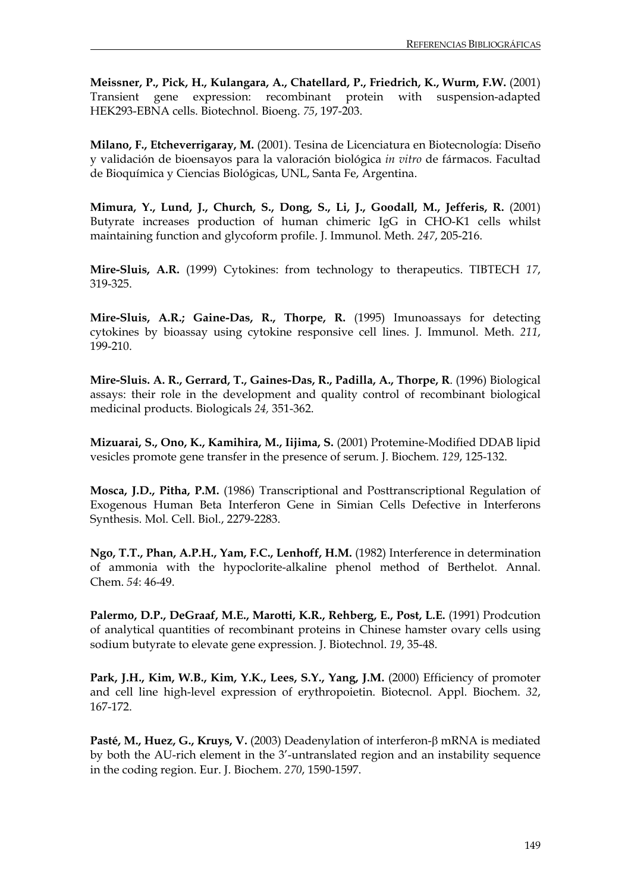**Meissner, P., Pick, H., Kulangara, A., Chatellard, P., Friedrich, K., Wurm, F.W.** (2001) Transient gene expression: recombinant protein with suspension-adapted HEK293-EBNA cells. Biotechnol. Bioeng. *75*, 197-203.

**Milano, F., Etcheverrigaray, M.** (2001). Tesina de Licenciatura en Biotecnología: Diseño y validación de bioensayos para la valoración biológica *in vitro* de fármacos. Facultad de Bioquímica y Ciencias Biológicas, UNL, Santa Fe, Argentina.

**Mimura, Y., Lund, J., Church, S., Dong, S., Li, J., Goodall, M., Jefferis, R.** (2001) Butyrate increases production of human chimeric IgG in CHO-K1 cells whilst maintaining function and glycoform profile. J. Immunol. Meth. *247*, 205-216.

**Mire-Sluis, A.R.** (1999) Cytokines: from technology to therapeutics. TIBTECH *17*, 319-325.

**Mire-Sluis, A.R.; Gaine-Das, R., Thorpe, R.** (1995) Imunoassays for detecting cytokines by bioassay using cytokine responsive cell lines. J. Immunol. Meth. *211*, 199-210.

**Mire-Sluis. A. R., Gerrard, T., Gaines-Das, R., Padilla, A., Thorpe, R**. (1996) Biological assays: their role in the development and quality control of recombinant biological medicinal products. Biologicals *24,* 351-362.

**Mizuarai, S., Ono, K., Kamihira, M., Iijima, S.** (2001) Protemine-Modified DDAB lipid vesicles promote gene transfer in the presence of serum. J. Biochem. *129*, 125-132.

**Mosca, J.D., Pitha, P.M.** (1986) Transcriptional and Posttranscriptional Regulation of Exogenous Human Beta Interferon Gene in Simian Cells Defective in Interferons Synthesis. Mol. Cell. Biol., 2279-2283.

**Ngo, T.T., Phan, A.P.H., Yam, F.C., Lenhoff, H.M.** (1982) Interference in determination of ammonia with the hypoclorite-alkaline phenol method of Berthelot. Annal. Chem. *54*: 46-49.

**Palermo, D.P., DeGraaf, M.E., Marotti, K.R., Rehberg, E., Post, L.E.** (1991) Prodcution of analytical quantities of recombinant proteins in Chinese hamster ovary cells using sodium butyrate to elevate gene expression. J. Biotechnol. *19*, 35-48.

**Park, J.H., Kim, W.B., Kim, Y.K., Lees, S.Y., Yang, J.M.** (2000) Efficiency of promoter and cell line high-level expression of erythropoietin. Biotecnol. Appl. Biochem. *32*, 167-172.

**Pasté, M., Huez, G., Kruys, V.** (2003) Deadenylation of interferon-β mRNA is mediated by both the AU-rich element in the 3'-untranslated region and an instability sequence in the coding region. Eur. J. Biochem. *270*, 1590-1597.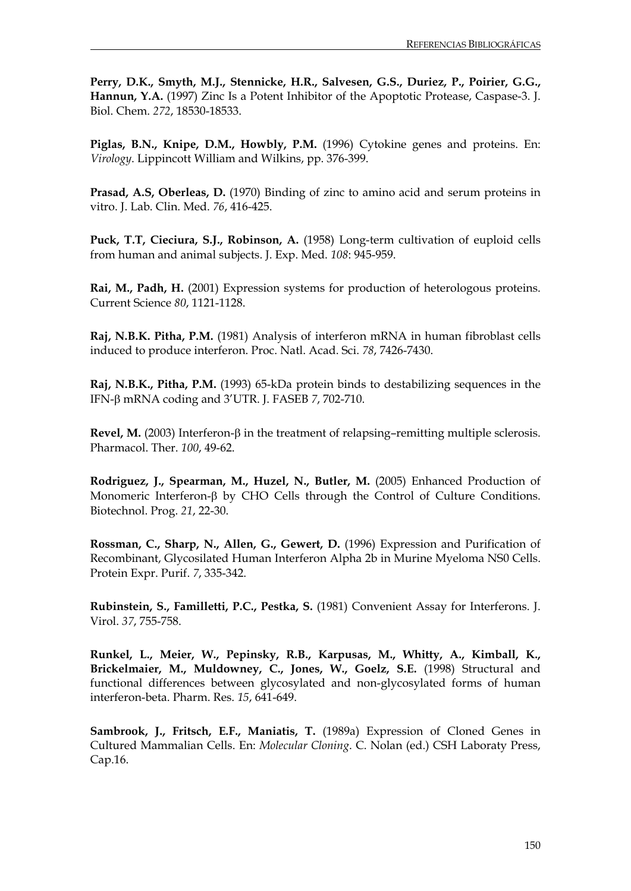**Perry, D.K., Smyth, M.J., Stennicke, H.R., Salvesen, G.S., Duriez, P., Poirier, G.G., Hannun, Y.A.** (1997) Zinc Is a Potent Inhibitor of the Apoptotic Protease, Caspase-3. J. Biol. Chem. *272*, 18530-18533.

**Piglas, B.N., Knipe, D.M., Howbly, P.M.** (1996) Cytokine genes and proteins. En: *Virology*. Lippincott William and Wilkins, pp. 376-399.

**Prasad, A.S, Oberleas, D.** (1970) Binding of zinc to amino acid and serum proteins in vitro. J. Lab. Clin. Med. *76*, 416-425.

**Puck, T.T, Cieciura, S.J., Robinson, A.** (1958) Long-term cultivation of euploid cells from human and animal subjects. J. Exp. Med. *108*: 945-959.

**Rai, M., Padh, H.** (2001) Expression systems for production of heterologous proteins. Current Science *80*, 1121-1128.

**Raj, N.B.K. Pitha, P.M.** (1981) Analysis of interferon mRNA in human fibroblast cells induced to produce interferon. Proc. Natl. Acad. Sci. *78*, 7426-7430.

**Raj, N.B.K., Pitha, P.M.** (1993) 65-kDa protein binds to destabilizing sequences in the IFN-β mRNA coding and 3'UTR. J. FASEB *7*, 702-710.

**Revel, M.** (2003) Interferon-β in the treatment of relapsing–remitting multiple sclerosis. Pharmacol. Ther. *100*, 49-62.

**Rodriguez, J., Spearman, M., Huzel, N., Butler, M.** (2005) Enhanced Production of Monomeric Interferon-β by CHO Cells through the Control of Culture Conditions. Biotechnol. Prog. *21*, 22-30.

**Rossman, C., Sharp, N., Allen, G., Gewert, D.** (1996) Expression and Purification of Recombinant, Glycosilated Human Interferon Alpha 2b in Murine Myeloma NS0 Cells. Protein Expr. Purif. *7*, 335-342.

**Rubinstein, S., Familletti, P.C., Pestka, S.** (1981) Convenient Assay for Interferons. J. Virol. *37*, 755-758.

**Runkel, L., Meier, W., Pepinsky, R.B., Karpusas, M., Whitty, A., Kimball, K., Brickelmaier, M., Muldowney, C., Jones, W., Goelz, S.E.** (1998) Structural and functional differences between glycosylated and non-glycosylated forms of human interferon-beta. Pharm. Res. *15*, 641-649.

**Sambrook, J., Fritsch, E.F., Maniatis, T.** (1989a) Expression of Cloned Genes in Cultured Mammalian Cells. En: *Molecular Cloning*. C. Nolan (ed.) CSH Laboraty Press, Cap.16.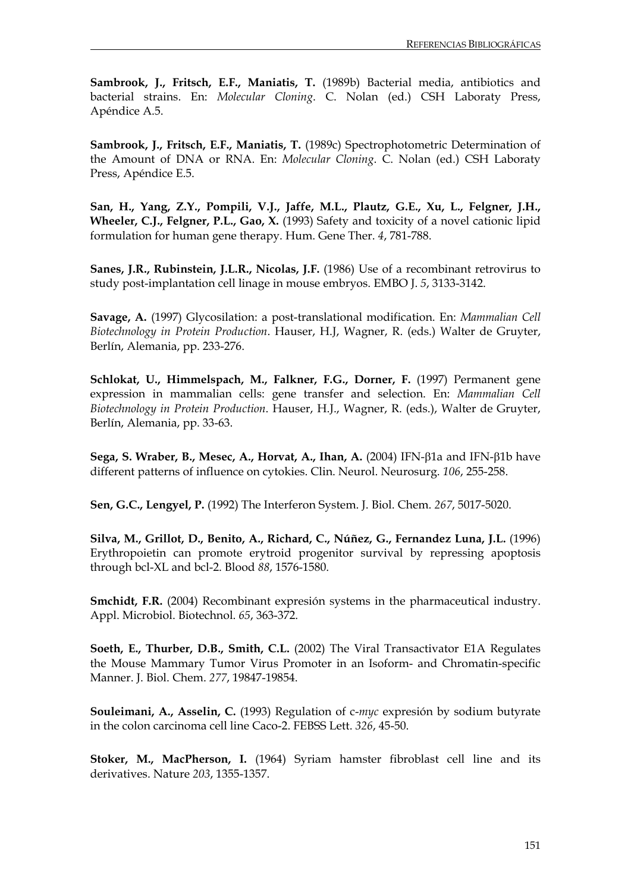**Sambrook, J., Fritsch, E.F., Maniatis, T.** (1989b) Bacterial media, antibiotics and bacterial strains. En: *Molecular Cloning*. C. Nolan (ed.) CSH Laboraty Press, Apéndice A.5.

**Sambrook, J., Fritsch, E.F., Maniatis, T.** (1989c) Spectrophotometric Determination of the Amount of DNA or RNA. En: *Molecular Cloning*. C. Nolan (ed.) CSH Laboraty Press, Apéndice E.5.

**San, H., Yang, Z.Y., Pompili, V.J., Jaffe, M.L., Plautz, G.E., Xu, L., Felgner, J.H., Wheeler, C.J., Felgner, P.L., Gao, X.** (1993) Safety and toxicity of a novel cationic lipid formulation for human gene therapy. Hum. Gene Ther. *4*, 781-788.

**Sanes, J.R., Rubinstein, J.L.R., Nicolas, J.F.** (1986) Use of a recombinant retrovirus to study post-implantation cell linage in mouse embryos. EMBO J. *5*, 3133-3142.

**Savage, A.** (1997) Glycosilation: a post-translational modification. En: *Mammalian Cell Biotechnology in Protein Production*. Hauser, H.J, Wagner, R. (eds.) Walter de Gruyter, Berlín, Alemania, pp. 233-276.

**Schlokat, U., Himmelspach, M., Falkner, F.G., Dorner, F.** (1997) Permanent gene expression in mammalian cells: gene transfer and selection. En: *Mammalian Cell Biotechnology in Protein Production*. Hauser, H.J., Wagner, R. (eds.), Walter de Gruyter, Berlín, Alemania, pp. 33-63.

**Sega, S. Wraber, B., Mesec, A., Horvat, A., Ihan, A.** (2004) IFN-β1a and IFN-β1b have different patterns of influence on cytokies. Clin. Neurol. Neurosurg. 106, 255-258.

**Sen, G.C., Lengyel, P.** (1992) The Interferon System. J. Biol. Chem. *267*, 5017-5020.

**Silva, M., Grillot, D., Benito, A., Richard, C., Núñez, G., Fernandez Luna, J.L.** (1996) Erythropoietin can promote erytroid progenitor survival by repressing apoptosis through bcl-XL and bcl-2. Blood *88*, 1576-1580.

**Smchidt, F.R.** (2004) Recombinant expresión systems in the pharmaceutical industry. Appl. Microbiol. Biotechnol. *65*, 363-372.

**Soeth, E., Thurber, D.B., Smith, C.L.** (2002) The Viral Transactivator E1A Regulates the Mouse Mammary Tumor Virus Promoter in an Isoform- and Chromatin-specific Manner. J. Biol. Chem. *277*, 19847-19854.

**Souleimani, A., Asselin, C.** (1993) Regulation of c-*myc* expresión by sodium butyrate in the colon carcinoma cell line Caco-2. FEBSS Lett. *326*, 45-50.

**Stoker, M., MacPherson, I.** (1964) Syriam hamster fibroblast cell line and its derivatives. Nature *203*, 1355-1357.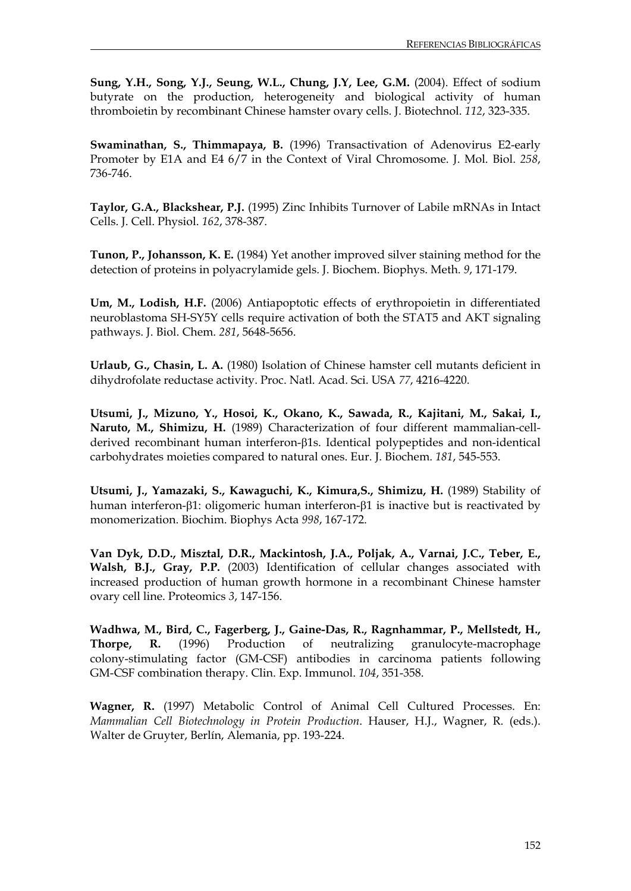**Sung, Y.H., Song, Y.J., Seung, W.L., Chung, J.Y, Lee, G.M.** (2004). Effect of sodium butyrate on the production, heterogeneity and biological activity of human thromboietin by recombinant Chinese hamster ovary cells. J. Biotechnol. *112*, 323-335.

**Swaminathan, S., Thimmapaya, B.** (1996) Transactivation of Adenovirus E2-early Promoter by E1A and E4 6/7 in the Context of Viral Chromosome. J. Mol. Biol. *258*, 736-746.

**Taylor, G.A., Blackshear, P.J.** (1995) Zinc Inhibits Turnover of Labile mRNAs in Intact Cells. J. Cell. Physiol. *162*, 378-387.

**Tunon, P., Johansson, K. E.** (1984) Yet another improved silver staining method for the detection of proteins in polyacrylamide gels. J. Biochem. Biophys. Meth. *9*, 171-179.

**[Um, M.](http://www.ncbi.nlm.nih.gov/entrez/query.fcgi?db=pubmed&cmd=Search&itool=pubmed_Abstract&term=%22Um+M%22%5BAuthor%5D), [Lodish, H.F.](http://www.ncbi.nlm.nih.gov/entrez/query.fcgi?db=pubmed&cmd=Search&itool=pubmed_Abstract&term=%22Lodish+HF%22%5BAuthor%5D)** (2006) Antiapoptotic effects of erythropoietin in differentiated neuroblastoma SH-SY5Y cells require activation of both the STAT5 and AKT signaling pathways. [J. Biol. Chem.](javascript:AL_get(this,%20) *281*, 5648-5656.

**Urlaub, G., Chasin, L. A.** (1980) Isolation of Chinese hamster cell mutants deficient in dihydrofolate reductase activity. Proc. Natl. Acad. Sci. USA *77*, 4216-4220.

**Utsumi, J., Mizuno, Y., Hosoi, K., Okano, K., Sawada, R., Kajitani, M., Sakai, I., Naruto, M., Shimizu, H.** (1989) Characterization of four different mammalian-cellderived recombinant human interferon-β1s. Identical polypeptides and non-identical carbohydrates moieties compared to natural ones. Eur. J. Biochem. *181*, 545-553.

**Utsumi, J., Yamazaki, S., Kawaguchi, K., Kimura,S., Shimizu, H.** (1989) Stability of human interferon-β1: oligomeric human interferon-β1 is inactive but is reactivated by monomerization. Biochim. Biophys Acta *998*, 167-172.

**Van Dyk, D.D., Misztal, D.R., Mackintosh, J.A., Poljak, A., Varnai, J.C., Teber, E., Walsh, B.J., Gray, P.P.** (2003) Identification of cellular changes associated with increased production of human growth hormone in a recombinant Chinese hamster ovary cell line. Proteomics *3*, 147-156.

**Wadhwa, M., Bird, C., Fagerberg, J., Gaine-Das, R., Ragnhammar, P., Mellstedt, H., Thorpe, R.** (1996) Production of neutralizing granulocyte-macrophage colony-stimulating factor (GM-CSF) antibodies in carcinoma patients following GM-CSF combination therapy. Clin. Exp. Immunol. *104*, 351-358.

**Wagner, R.** (1997) Metabolic Control of Animal Cell Cultured Processes. En: *Mammalian Cell Biotechnology in Protein Production*. Hauser, H.J., Wagner, R. (eds.). Walter de Gruyter, Berlín, Alemania, pp. 193-224.